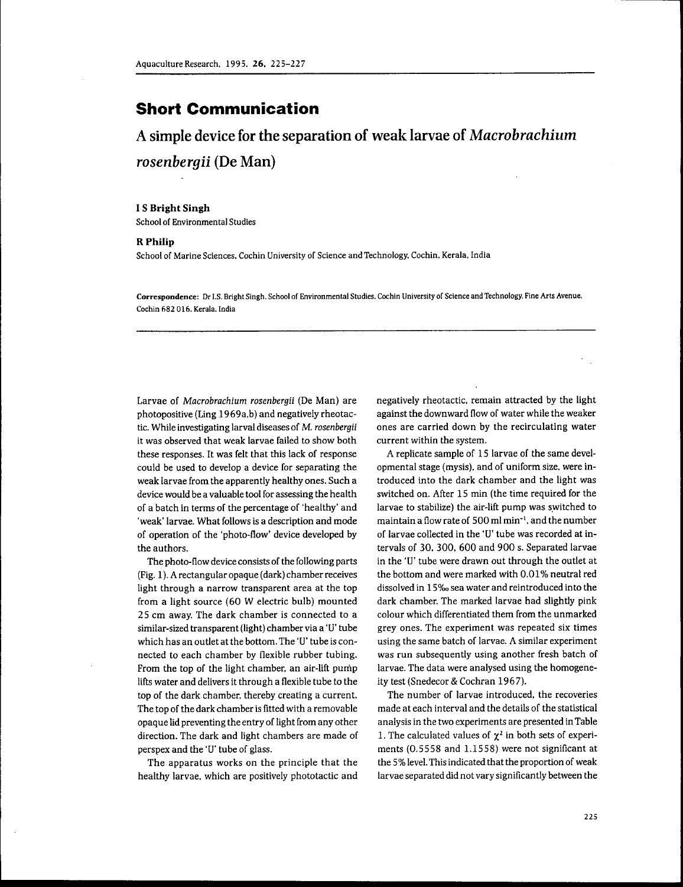# **Short Communication**

A simple device for the separation of weak larvae of *Macrobrachium rosenbergii* (De Man)

### **I S Bright Singh**

School of Environmental Studies

## **R Philip**

School of Marine Sciences, Cochin University of Science and Technology. Cochin, Kerala, India

**Correspondence:** Dr I,S, Bright Singh, School of Environmental Studies, Cochin University of Science and Technology, Fine Arts Avenue, Cochin 682 016, Keraia, India

Larvae of *Macrobrachium rosenbergii* (De Man) are photopositive (Ling 1969a.b) and negatively rheotactic. While investigating larval diseases of M, *rosenbergii* it was observed that weak larvae failed to show both these responses. It was felt that this lack of response could be used to develop a device for separating the weak larvae from the apparently healthy ones. Such a device would be a valuable tool for assessing the health of a batch in terms of the percentage of 'healthy' and 'weak' larvae. What follows is a description and mode of operation of the 'photo-flow' device developed by the authors.

The photo-flow device consists of the following parts (Fig. 1). A rectangular opaque (dark) chamber receives light through a narrow transparent area at the top from a light source (60 W electric bulb) mounted 25 cm away. The dark chamber is connected to a similar-sized transparent (light) chamber via a 'U' tube which has an outlet at the bottom. The 'U' tube is connected to each chamber by flexible rubber tubing. From the top of the light chamber, an air-lift pump lifts water and delivers it through a flexible tube to the top of the dark chamber, thereby creating a current. The top of the dark chamber is fitted with a removable opaque lid preventing the entry of light from any other direction. The dark and light chambers are made of perspex and the 'U' tube of glass.

The apparatus works on the principle that the healthy larvae, which are positively phototactic and negatively rheotactic. remain attracted by the light against the downward flow of water while the weaker ones are carried down by the recirculating water current within the system.

A replicate sample of 15 larvae of the same developmental stage (mysis). and of uniform size, were introduced into the dark chamber and the light was switched on. After 15 min (the time required for the larvae to stabilize) the air-lift pump was switched to maintain a flow rate of 500 ml min"'. and the number of larvae collected in the 'U' tube was recorded at intervals of 30. 300. 600 and 900 s. Separated larvae in the 'U' tube were drawn out through the outlet at the bottom and were marked with 0.01% neutral red dissolved in 15%o sea water and reintroduced into the dark chamber. The marked larvae had slightly pink colour which differentiated them from the unmarked grey ones. The experiment was repeated six times using the same batch of larvae. A similar experiment was run subsequently using another fresh batch of larvae. The data were analysed using the homogeneity test (Snedecor & Cochran 1967),

The number of larvae introduced, the recoveries made at each interval and the details of the statistical analysis in the two experiments are presented in Table 1. The calculated values of  $\chi^2$  in both sets of experiments (0,5558 and 1,1558) were not significant at the 5% level. This indicated that the proportion of weak larvae separated did not vary significantly between the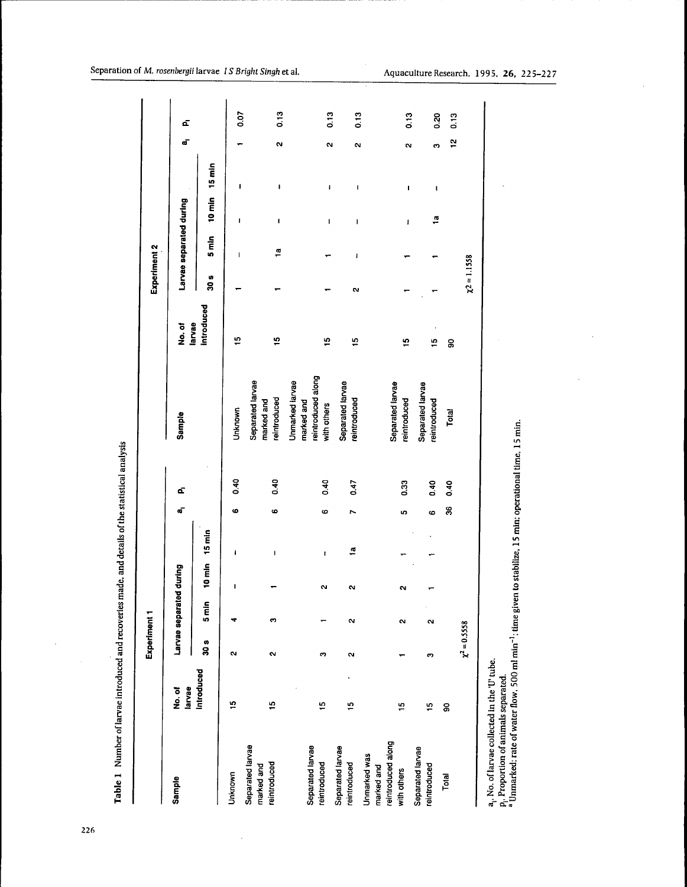|                                                                 |                  | Experiment 1      |                  |          |               |          |      |                                                                    |                      | Experiment 2   |                                                                                                                                                                                                                                                                                                                                                      |                                                                                                                                                                                                                                                                                                                                                                                       |                   |                   |              |
|-----------------------------------------------------------------|------------------|-------------------|------------------|----------|---------------|----------|------|--------------------------------------------------------------------|----------------------|----------------|------------------------------------------------------------------------------------------------------------------------------------------------------------------------------------------------------------------------------------------------------------------------------------------------------------------------------------------------------|---------------------------------------------------------------------------------------------------------------------------------------------------------------------------------------------------------------------------------------------------------------------------------------------------------------------------------------------------------------------------------------|-------------------|-------------------|--------------|
| Sample                                                          | larvae<br>No. of |                   | Larvae separated | I during |               | പ്       | ď,   | Sample                                                             | No.of                |                | Larvae separated during                                                                                                                                                                                                                                                                                                                              |                                                                                                                                                                                                                                                                                                                                                                                       |                   | ď                 | á,           |
|                                                                 | Introduced       | 30 s              | $5 \text{ min}$  |          | 10 min 15 min |          |      |                                                                    | Introduced<br>larvae | 30 s           | $5 \text{ min}$                                                                                                                                                                                                                                                                                                                                      | 10 min 15 min                                                                                                                                                                                                                                                                                                                                                                         |                   |                   |              |
| Unknown                                                         | 10               | N                 |                  | ţ        | ı             | 6        | 0.40 | Unknown                                                            | ە                    |                | I                                                                                                                                                                                                                                                                                                                                                    | ı                                                                                                                                                                                                                                                                                                                                                                                     | ı                 |                   | 0.07         |
| Separated larvae<br>reintroduced<br>marked and                  | ءِ               | M                 | S                | ┯        | ł             | 6        | 0.40 | Separated larvae<br>reintroduced<br>marked and                     | 10                   |                | $\frac{a}{1}$                                                                                                                                                                                                                                                                                                                                        | I                                                                                                                                                                                                                                                                                                                                                                                     | $\mathbf I$       | N                 | 0.13         |
| Separated larvae<br>reintroduced                                | $\ddot{ }$       | ო                 |                  | N        | ı             | G        | 0.40 | reintroduced along<br>Unmarked larvae<br>marked and<br>with others | 10                   |                |                                                                                                                                                                                                                                                                                                                                                      | I                                                                                                                                                                                                                                                                                                                                                                                     | $\mathbf i$       | N                 |              |
| Separated larvae<br>reintroduced                                | $\frac{5}{2}$    | N                 | N                | $\sim$   | $\mathbf{a}$  | N        | 0.47 | Separated larvae<br>reintroduced                                   | ءِ                   | N              | $\begin{array}{c} \rule{0.2cm}{0.15cm} \rule{0.2cm}{0.15cm} \rule{0.2cm}{0.15cm} \rule{0.2cm}{0.15cm} \rule{0.2cm}{0.15cm} \rule{0.2cm}{0.15cm} \rule{0.2cm}{0.15cm} \rule{0.2cm}{0.15cm} \rule{0.2cm}{0.15cm} \rule{0.2cm}{0.15cm} \rule{0.2cm}{0.15cm} \rule{0.2cm}{0.15cm} \rule{0.2cm}{0.15cm} \rule{0.2cm}{0.15cm} \rule{0.2cm}{0.15cm} \rule{$ | ı                                                                                                                                                                                                                                                                                                                                                                                     |                   |                   | 0.13         |
| reintroduced along<br>Unmarked was<br>marked and<br>with others | ÷,               |                   | $\mathbf{a}$     | $\sim$   |               | မာ       | 0.33 | Separated larvae<br>reintroduced                                   | 9                    |                |                                                                                                                                                                                                                                                                                                                                                      |                                                                                                                                                                                                                                                                                                                                                                                       | ł                 | $\mathbf{\alpha}$ | 0.13         |
| Separated larvae<br>reintroduced                                | $\frac{5}{2}$    | ო                 | $\sim$           |          |               | <u>ဖ</u> | 0.40 | Separated larvae<br>reintroduced                                   | $\frac{5}{2}$        |                |                                                                                                                                                                                                                                                                                                                                                      | ă<br>$\begin{array}{c} \rule{0pt}{2.5ex} \rule{0pt}{2.5ex} \rule{0pt}{2.5ex} \rule{0pt}{2.5ex} \rule{0pt}{2.5ex} \rule{0pt}{2.5ex} \rule{0pt}{2.5ex} \rule{0pt}{2.5ex} \rule{0pt}{2.5ex} \rule{0pt}{2.5ex} \rule{0pt}{2.5ex} \rule{0pt}{2.5ex} \rule{0pt}{2.5ex} \rule{0pt}{2.5ex} \rule{0pt}{2.5ex} \rule{0pt}{2.5ex} \rule{0pt}{2.5ex} \rule{0pt}{2.5ex} \rule{0pt}{2.5ex} \rule{0$ | ı<br>$\mathbf{I}$ | $\mathbf{a}$<br>ო | 0.20<br>0.13 |
| Total                                                           | 8                |                   |                  |          |               | 36       | 0.40 | Total                                                              | ႙ၟ                   |                |                                                                                                                                                                                                                                                                                                                                                      |                                                                                                                                                                                                                                                                                                                                                                                       |                   | $\frac{1}{2}$     | 0.13         |
|                                                                 |                  | $\chi^2 = 0.5558$ |                  |          |               |          |      |                                                                    |                      | $x^2 = 1.1558$ |                                                                                                                                                                                                                                                                                                                                                      |                                                                                                                                                                                                                                                                                                                                                                                       |                   |                   |              |
| a. No. of lowers sollowed to the truth.                         |                  |                   |                  |          |               |          |      |                                                                    |                      |                |                                                                                                                                                                                                                                                                                                                                                      |                                                                                                                                                                                                                                                                                                                                                                                       |                   |                   |              |

Table 1 Number of larvae introduced and recoveries made, and details of the statistical analysis

a<sub>r</sub>, No. of larvae collected in the 'U' tube.<br>P<sub>i</sub>. Proportion of animals separated.<br><sup>a</sup> Unmarked: rate of water flow, 500 ml min<sup>-1</sup>: time given to stabilize, 15 min: operational time, 15 min.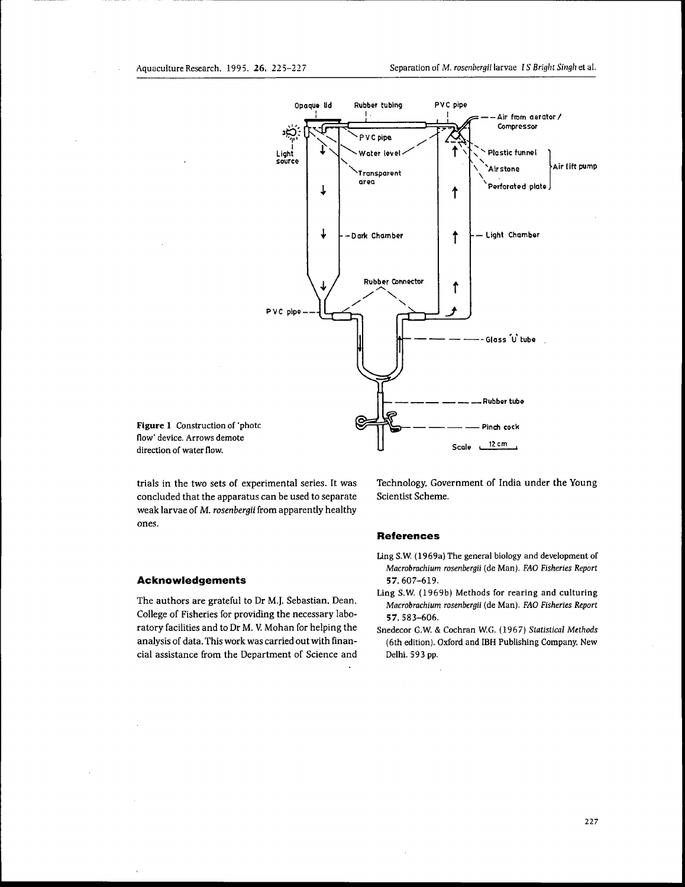

**Figure 1** Construction of 'photc flow' device. Arrows demote direction of water flow.

trials in the two sets of experimental series. It was concluded that the apparatus can be used to separate weak larvae of M. *rosenbergii* from apparently healthy ones.

### **Acknowledgements**

The authors are grateful to Dr M.J. Sebastian. Dean, College of Fisheries for providing the necessary laboratory facilities and to Dr M, V. Mohan for helping the analysis of data. This work was carried out with financial assistance from the Department of Science and

Technology. Government of India under the Young Scientist Scheme.

## **References**

- Ling S,W, (1969a) The general biology and development of *Macrobrachium rosenbergii* (de Man), *FAO Fisheries Report* 57,607-619,
- Ling S,W. (1969b) Methods for rearing and culturing *Macrobrachium rosenbergii* (de Man), *FAO Fisheries Report* 57, 583-606,
- Snedecor G.W, & Cochran W,G, (1967) *Statistical Methods* (6th edition), Oxford and IBH Publishing Company. New Delhi, 593 pp.